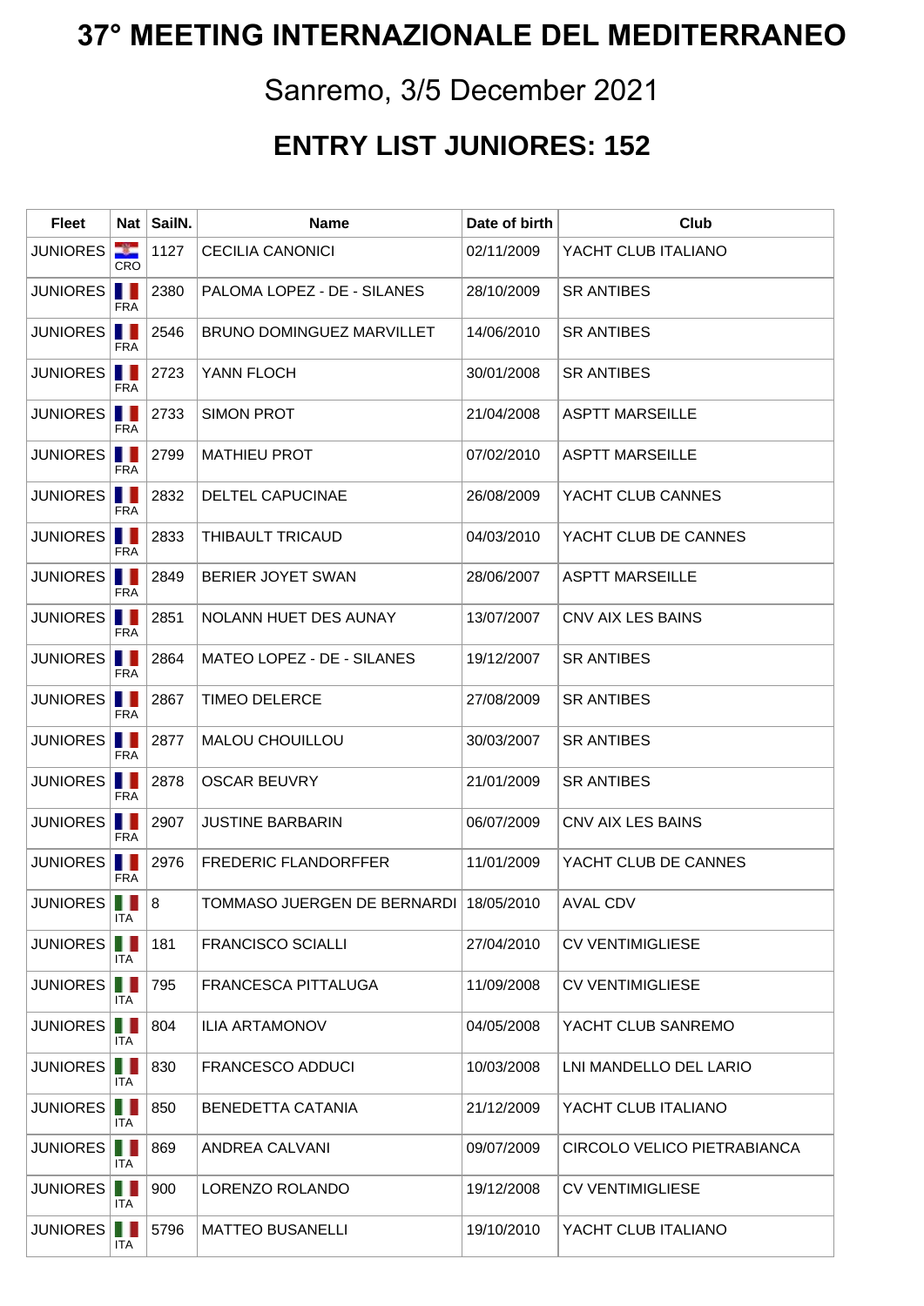## **37° MEETING INTERNAZIONALE DEL MEDITERRANEO**

## Sanremo, 3/5 December 2021

## **ENTRY LIST JUNIORES: 152**

| <b>Fleet</b>             | Nat ∣      | SailN. | <b>Name</b>                            | Date of birth | Club                        |
|--------------------------|------------|--------|----------------------------------------|---------------|-----------------------------|
| <b>JUNIORES</b>          | -9<br>CRO  | 1127   | <b>CECILIA CANONICI</b>                | 02/11/2009    | YACHT CLUB ITALIANO         |
| JUNIORES                 | FRA        | 2380   | PALOMA LOPEZ - DE - SILANES            | 28/10/2009    | <b>SR ANTIBES</b>           |
| JUNIORES                 | FRA        | 2546   | BRUNO DOMINGUEZ MARVILLET              | 14/06/2010    | <b>SR ANTIBES</b>           |
| JUNIORES                 | <b>FRA</b> | 2723   | YANN FLOCH                             | 30/01/2008    | <b>SR ANTIBES</b>           |
| JUNIORES                 | FRA        | 2733   | <b>SIMON PROT</b>                      | 21/04/2008    | <b>ASPTT MARSEILLE</b>      |
| JUNIORES                 | <b>FRA</b> | 2799   | <b>MATHIEU PROT</b>                    | 07/02/2010    | <b>ASPTT MARSEILLE</b>      |
| JUNIORES                 | <b>FRA</b> | 2832   | <b>DELTEL CAPUCINAE</b>                | 26/08/2009    | YACHT CLUB CANNES           |
| <b>JUNIORES</b>          | FRA        | 2833   | THIBAULT TRICAUD                       | 04/03/2010    | YACHT CLUB DE CANNES        |
| JUNIORES <sup>I</sup> II | FRA        | 2849   | BERIER JOYET SWAN                      | 28/06/2007    | <b>ASPTT MARSEILLE</b>      |
| JUNIORES <sup>I</sup> II | FRA        | 2851   | NOLANN HUET DES AUNAY                  | 13/07/2007    | CNV AIX LES BAINS           |
| JUNIORES                 | <b>FRA</b> | 2864   | MATEO LOPEZ - DE - SILANES             | 19/12/2007    | <b>SR ANTIBES</b>           |
| JUNIORES <b>I</b>        | <b>FRA</b> | 2867   | <b>TIMEO DELERCE</b>                   | 27/08/2009    | <b>SR ANTIBES</b>           |
| <b>JUNIORES</b>          | FRA        | 2877   | <b>MALOU CHOUILLOU</b>                 | 30/03/2007    | <b>SR ANTIBES</b>           |
| JUNIORES                 | FRA        | 2878   | <b>OSCAR BEUVRY</b>                    | 21/01/2009    | <b>SR ANTIBES</b>           |
| JUNIORES <b> </b>        | FRA        | 2907   | <b>JUSTINE BARBARIN</b>                | 06/07/2009    | CNV AIX LES BAINS           |
| JUNIORES <b>I</b>        | <b>FRA</b> | 2976   | <b>FREDERIC FLANDORFFER</b>            | 11/01/2009    | YACHT CLUB DE CANNES        |
| JUNIORES       8         | ITA        |        | TOMMASO JUERGEN DE BERNARDI 18/05/2010 |               | AVAL CDV                    |
| <b>JUNIORES</b>          | . .<br>ITA | 181    | <b>FRANCISCO SCIALLI</b>               | 27/04/2010    | <b>CV VENTIMIGLIESE</b>     |
| JUNIORES                 | <b>ITA</b> | 795    | FRANCESCA PITTALUGA                    | 11/09/2008    | <b>CV VENTIMIGLIESE</b>     |
| <b>JUNIORES</b>          | <b>ITA</b> | 804    | <b>ILIA ARTAMONOV</b>                  | 04/05/2008    | YACHT CLUB SANREMO          |
| JUNIORES                 | ITA        | 830    | <b>FRANCESCO ADDUCI</b>                | 10/03/2008    | LNI MANDELLO DEL LARIO      |
| JUNIORES <sup>II</sup> I | ITA.       | 850    | BENEDETTA CATANIA                      | 21/12/2009    | YACHT CLUB ITALIANO         |
| JUNIORES <b>II</b>       | ITA        | 869    | ANDREA CALVANI                         | 09/07/2009    | CIRCOLO VELICO PIETRABIANCA |
| <b>JUNIORES</b>          | ITA        | 900    | LORENZO ROLANDO                        | 19/12/2008    | <b>CV VENTIMIGLIESE</b>     |
| JUNIORES                 | ITA        | 5796   | <b>MATTEO BUSANELLI</b>                | 19/10/2010    | YACHT CLUB ITALIANO         |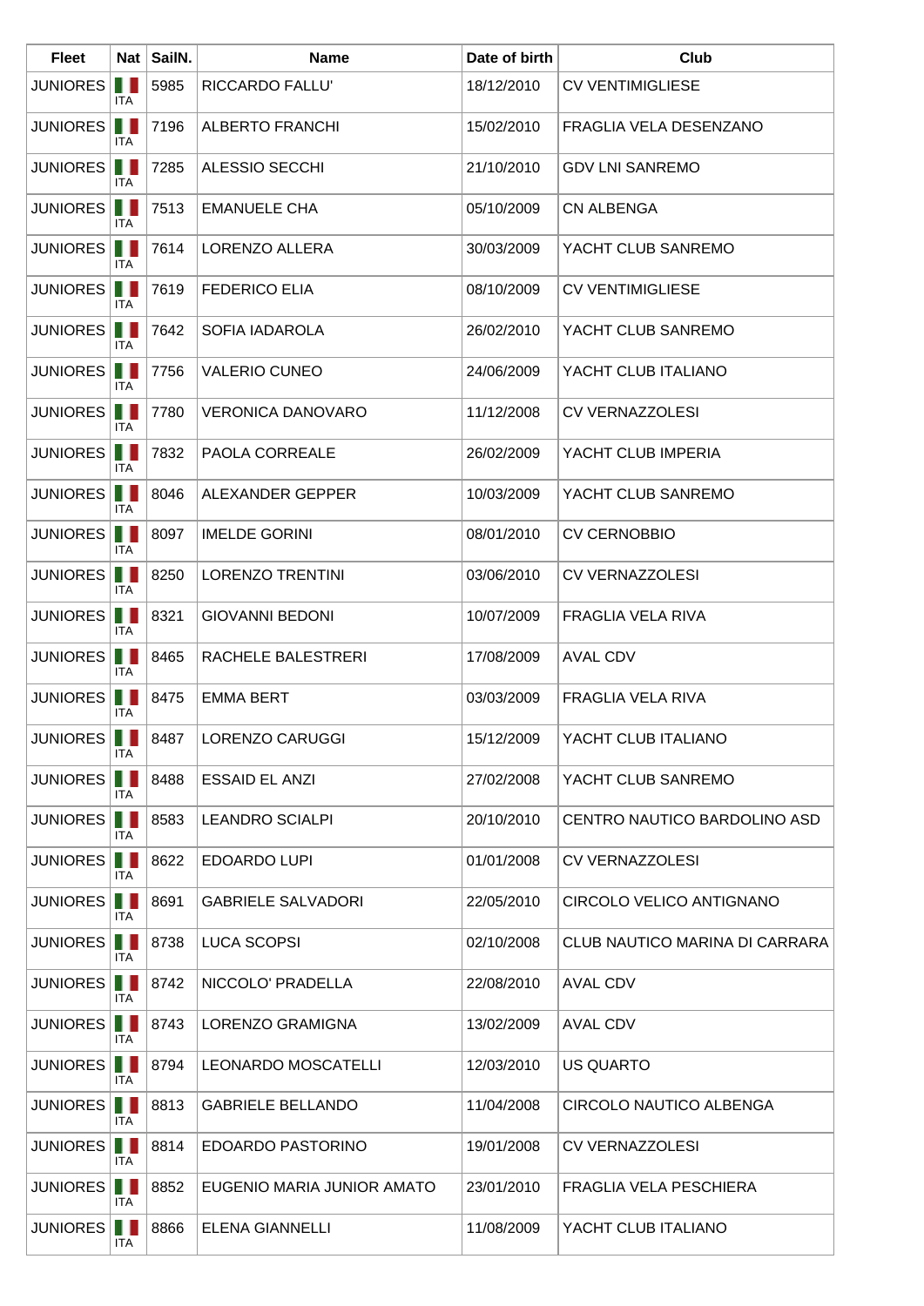| <b>Fleet</b>        |                  | Nat SailN. | <b>Name</b>                | Date of birth | Club                           |
|---------------------|------------------|------------|----------------------------|---------------|--------------------------------|
| <b>JUNIORES</b>     | . .<br>ITA       | 5985       | RICCARDO FALLU'            | 18/12/2010    | <b>CV VENTIMIGLIESE</b>        |
| JUNIORES            | Ш<br><b>ITA</b>  | 7196       | <b>ALBERTO FRANCHI</b>     | 15/02/2010    | FRAGLIA VELA DESENZANO         |
| <b>JUNIORES</b>     | ш<br><b>ITA</b>  | 7285       | ALESSIO SECCHI             | 21/10/2010    | <b>GDV LNI SANREMO</b>         |
| <b>JUNIORES</b>     | ш<br><b>ITA</b>  | 7513       | <b>EMANUELE CHA</b>        | 05/10/2009    | <b>CN ALBENGA</b>              |
| <b>JUNIORES</b>     | H.<br>ITA.       | 7614       | LORENZO ALLERA             | 30/03/2009    | YACHT CLUB SANREMO             |
| <b>JUNIORES</b>     | . .<br>ITA       | 7619       | <b>FEDERICO ELIA</b>       | 08/10/2009    | <b>CV VENTIMIGLIESE</b>        |
| <b>JUNIORES</b>     | Ш<br>ITA.        | 7642       | SOFIA IADAROLA             | 26/02/2010    | YACHT CLUB SANREMO             |
| <b>JUNIORES</b>     | H.<br><b>ITA</b> | 7756       | <b>VALERIO CUNEO</b>       | 24/06/2009    | YACHT CLUB ITALIANO            |
| <b>JUNIORES</b>     | Ш<br>ITA         | 7780       | <b>VERONICA DANOVARO</b>   | 11/12/2008    | <b>CV VERNAZZOLESI</b>         |
| <b>JUNIORES</b>     | H.<br>ITA.       | 7832       | PAOLA CORREALE             | 26/02/2009    | YACHT CLUB IMPERIA             |
| <b>JUNIORES</b>     | . .<br>ITA       | 8046       | ALEXANDER GEPPER           | 10/03/2009    | YACHT CLUB SANREMO             |
| <b>JUNIORES</b>     | Ш<br>ITA         | 8097       | <b>IMELDE GORINI</b>       | 08/01/2010    | <b>CV CERNOBBIO</b>            |
| <b>JUNIORES</b>     | H.<br>ITA        | 8250       | <b>LORENZO TRENTINI</b>    | 03/06/2010    | <b>CV VERNAZZOLESI</b>         |
| <b>JUNIORES</b>     | ш<br>ITA         | 8321       | <b>GIOVANNI BEDONI</b>     | 10/07/2009    | FRAGLIA VELA RIVA              |
| <b>JUNIORES</b>     | Ш<br><b>ITA</b>  | 8465       | RACHELE BALESTRERI         | 17/08/2009    | <b>AVAL CDV</b>                |
| <b>JUNIORES</b>     | Ш<br>ITA.        | 8475       | <b>EMMA BERT</b>           | 03/03/2009    | FRAGLIA VELA RIVA              |
| JUNIORES <b>III</b> | ITA              |            | 8487   LORENZO CARUGGI     | 15/12/2009    | YACHT CLUB ITALIANO            |
| <b>JUNIORES</b>     | . .<br>ITA       | 8488       | <b>ESSAID EL ANZI</b>      | 27/02/2008    | YACHT CLUB SANREMO             |
| <b>JUNIORES</b>     | . .<br>ITA       | 8583       | <b>LEANDRO SCIALPI</b>     | 20/10/2010    | CENTRO NAUTICO BARDOLINO ASD   |
| <b>JUNIORES</b>     | . .<br>ITA.      | 8622       | <b>EDOARDO LUPI</b>        | 01/01/2008    | <b>CV VERNAZZOLESI</b>         |
| <b>JUNIORES</b>     | H.<br>ITA.       | 8691       | <b>GABRIELE SALVADORI</b>  | 22/05/2010    | CIRCOLO VELICO ANTIGNANO       |
| <b>JUNIORES</b>     | Ш<br>ITA         | 8738       | <b>LUCA SCOPSI</b>         | 02/10/2008    | CLUB NAUTICO MARINA DI CARRARA |
| <b>JUNIORES</b>     | . .<br>ITA.      | 8742       | NICCOLO' PRADELLA          | 22/08/2010    | <b>AVAL CDV</b>                |
| <b>JUNIORES</b>     | . .<br>ITA       | 8743       | LORENZO GRAMIGNA           | 13/02/2009    | <b>AVAL CDV</b>                |
| <b>JUNIORES</b>     | Ш<br>ITA         | 8794       | LEONARDO MOSCATELLI        | 12/03/2010    | US QUARTO                      |
| JUNIORES            | H.<br>ITA        | 8813       | <b>GABRIELE BELLANDO</b>   | 11/04/2008    | CIRCOLO NAUTICO ALBENGA        |
| <b>JUNIORES</b>     | Ш<br>ITA         | 8814       | EDOARDO PASTORINO          | 19/01/2008    | <b>CV VERNAZZOLESI</b>         |
| <b>JUNIORES</b>     | . .<br>ITA       | 8852       | EUGENIO MARIA JUNIOR AMATO | 23/01/2010    | <b>FRAGLIA VELA PESCHIERA</b>  |
| <b>JUNIORES</b>     | . .<br>ITA       | 8866       | <b>ELENA GIANNELLI</b>     | 11/08/2009    | YACHT CLUB ITALIANO            |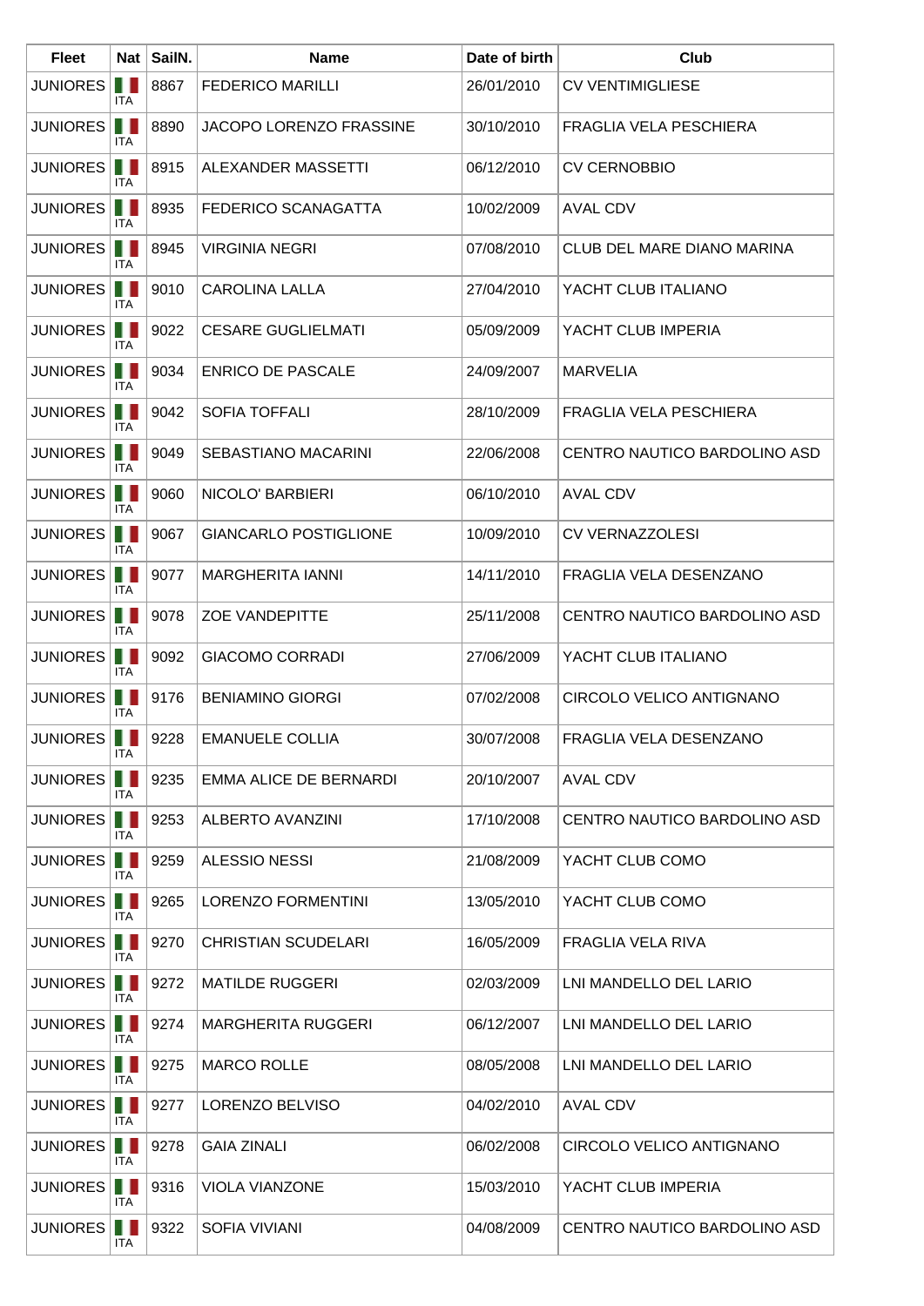| <b>Fleet</b>       |                   | Nat SailN. | <b>Name</b>                  | Date of birth | Club                         |
|--------------------|-------------------|------------|------------------------------|---------------|------------------------------|
| <b>JUNIORES</b>    | ш<br>ITA          | 8867       | <b>FEDERICO MARILLI</b>      | 26/01/2010    | <b>CV VENTIMIGLIESE</b>      |
| JUNIORES           | . .<br><b>ITA</b> | 8890       | JACOPO LORENZO FRASSINE      | 30/10/2010    | FRAGLIA VELA PESCHIERA       |
| <b>JUNIORES</b>    | ш<br>ITA.         | 8915       | ALEXANDER MASSETTI           | 06/12/2010    | <b>CV CERNOBBIO</b>          |
| <b>JUNIORES</b>    | .<br>ITA.         | 8935       | FEDERICO SCANAGATTA          | 10/02/2009    | <b>AVAL CDV</b>              |
| <b>JUNIORES</b>    | . .<br>ITA.       | 8945       | <b>VIRGINIA NEGRI</b>        | 07/08/2010    | CLUB DEL MARE DIANO MARINA   |
| <b>JUNIORES</b>    | . .<br>ITA        | 9010       | <b>CAROLINA LALLA</b>        | 27/04/2010    | YACHT CLUB ITALIANO          |
| JUNIORES           | H.<br>ITA.        | 9022       | <b>CESARE GUGLIELMATI</b>    | 05/09/2009    | YACHT CLUB IMPERIA           |
| <b>JUNIORES</b>    | H.<br>ITA.        | 9034       | <b>ENRICO DE PASCALE</b>     | 24/09/2007    | <b>MARVELIA</b>              |
| <b>JUNIORES</b>    | Ш<br><b>ITA</b>   | 9042       | <b>SOFIA TOFFALI</b>         | 28/10/2009    | FRAGLIA VELA PESCHIERA       |
| <b>JUNIORES</b>    | . .<br>ITA.       | 9049       | SEBASTIANO MACARINI          | 22/06/2008    | CENTRO NAUTICO BARDOLINO ASD |
| <b>JUNIORES</b>    | . .<br>ITA        | 9060       | NICOLO' BARBIERI             | 06/10/2010    | <b>AVAL CDV</b>              |
| <b>JUNIORES</b>    | Ш<br>ITA.         | 9067       | <b>GIANCARLO POSTIGLIONE</b> | 10/09/2010    | <b>CV VERNAZZOLESI</b>       |
| <b>JUNIORES</b>    | Ш<br>ITA.         | 9077       | <b>MARGHERITA IANNI</b>      | 14/11/2010    | FRAGLIA VELA DESENZANO       |
| <b>JUNIORES</b>    | ш<br>ITA          | 9078       | <b>ZOE VANDEPITTE</b>        | 25/11/2008    | CENTRO NAUTICO BARDOLINO ASD |
| JUNIORES           | . .<br>ITA.       | 9092       | <b>GIACOMO CORRADI</b>       | 27/06/2009    | YACHT CLUB ITALIANO          |
| <b>JUNIORES</b>    | . .<br>ITA        | 9176       | <b>BENIAMINO GIORGI</b>      | 07/02/2008    | CIRCOLO VELICO ANTIGNANO     |
| JUNIORES <b>II</b> | ITA.              | 9228       | <b>EMANUELE COLLIA</b>       | 30/07/2008    | FRAGLIA VELA DESENZANO       |
| <b>JUNIORES</b>    | . .<br>ITA        | 9235       | EMMA ALICE DE BERNARDI       | 20/10/2007    | <b>AVAL CDV</b>              |
| <b>JUNIORES</b>    | . .<br>ITA        | 9253       | ALBERTO AVANZINI             | 17/10/2008    | CENTRO NAUTICO BARDOLINO ASD |
| JUNIORES           | . .<br>ITA        | 9259       | <b>ALESSIO NESSI</b>         | 21/08/2009    | YACHT CLUB COMO              |
| <b>JUNIORES</b>    | ш<br>ITA.         | 9265       | <b>LORENZO FORMENTINI</b>    | 13/05/2010    | YACHT CLUB COMO              |
| <b>JUNIORES</b>    | Ш<br>ITA.         | 9270       | <b>CHRISTIAN SCUDELARI</b>   | 16/05/2009    | FRAGLIA VELA RIVA            |
| <b>JUNIORES</b>    | . .<br>ITA.       | 9272       | <b>MATILDE RUGGERI</b>       | 02/03/2009    | LNI MANDELLO DEL LARIO       |
| <b>JUNIORES</b>    | ш<br>ITA          | 9274       | <b>MARGHERITA RUGGERI</b>    | 06/12/2007    | LNI MANDELLO DEL LARIO       |
| <b>JUNIORES</b>    | Ш<br>ITA.         | 9275       | <b>MARCO ROLLE</b>           | 08/05/2008    | LNI MANDELLO DEL LARIO       |
| JUNIORES           | H.<br>ITA.        | 9277       | LORENZO BELVISO              | 04/02/2010    | <b>AVAL CDV</b>              |
| <b>JUNIORES</b>    | Ш<br>ITA          | 9278       | <b>GAIA ZINALI</b>           | 06/02/2008    | CIRCOLO VELICO ANTIGNANO     |
| <b>JUNIORES</b>    | Ш<br>ITA.         | 9316       | <b>VIOLA VIANZONE</b>        | 15/03/2010    | YACHT CLUB IMPERIA           |
| JUNIORES           | . .<br>ITA        | 9322       | SOFIA VIVIANI                | 04/08/2009    | CENTRO NAUTICO BARDOLINO ASD |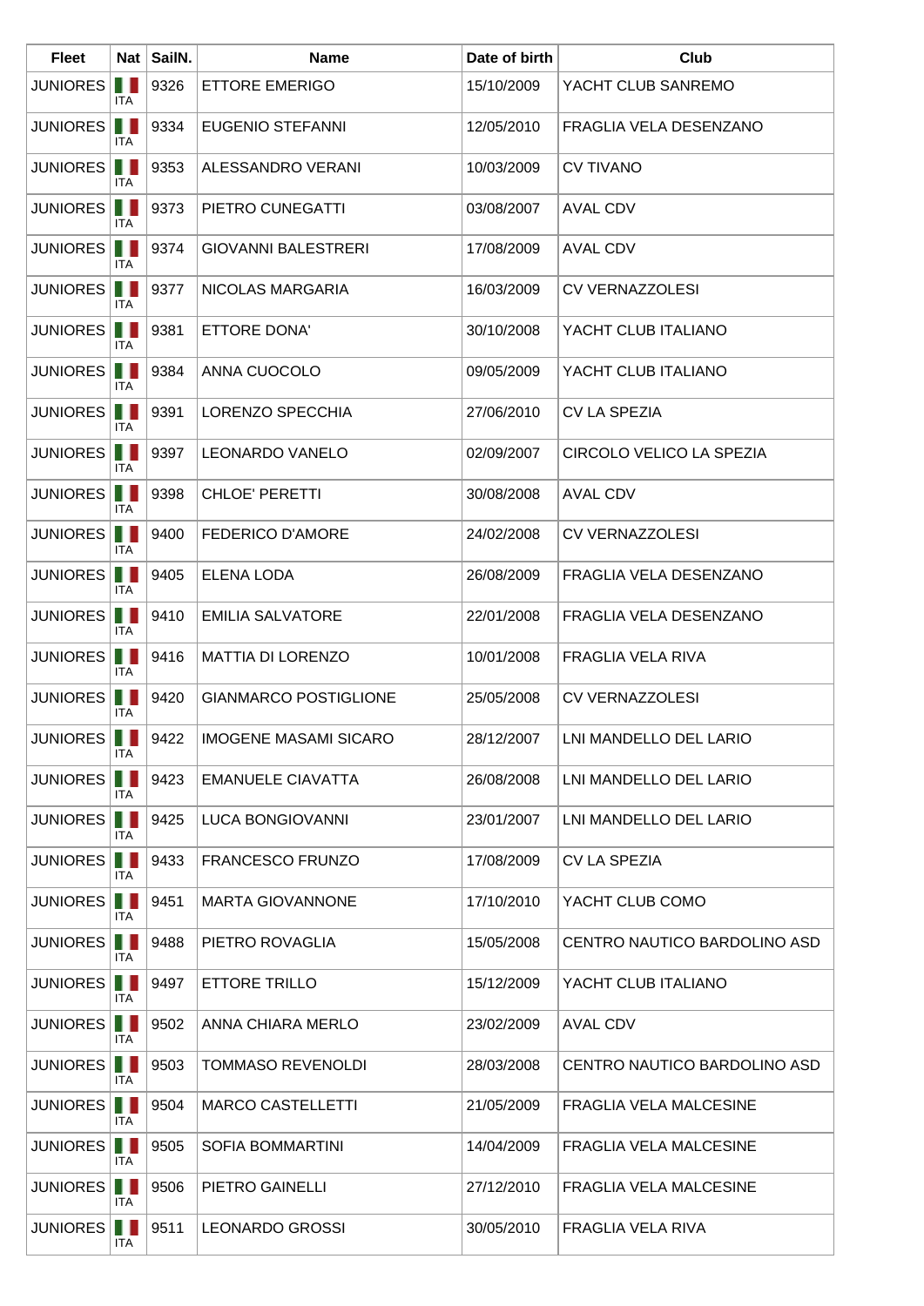| <b>Fleet</b>        |                 | Nat SailN. | <b>Name</b>                  | Date of birth | Club                          |
|---------------------|-----------------|------------|------------------------------|---------------|-------------------------------|
| <b>JUNIORES</b>     | . .<br>ITA      | 9326       | <b>ETTORE EMERIGO</b>        | 15/10/2009    | YACHT CLUB SANREMO            |
| <b>JUNIORES</b>     | H.<br>ITA.      | 9334       | <b>EUGENIO STEFANNI</b>      | 12/05/2010    | FRAGLIA VELA DESENZANO        |
| JUNIORES            | H.<br>ITA.      | 9353       | <b>ALESSANDRO VERANI</b>     | 10/03/2009    | <b>CV TIVANO</b>              |
| <b>JUNIORES</b>     | .<br>ITA        | 9373       | PIETRO CUNEGATTI             | 03/08/2007    | AVAL CDV                      |
| <b>JUNIORES</b>     | H.<br>ITA       | 9374       | <b>GIOVANNI BALESTRERI</b>   | 17/08/2009    | <b>AVAL CDV</b>               |
| <b>JUNIORES</b>     | . .<br>ITA      | 9377       | NICOLAS MARGARIA             | 16/03/2009    | <b>CV VERNAZZOLESI</b>        |
| <b>JUNIORES</b>     | Ш<br>ITA        | 9381       | ETTORE DONA'                 | 30/10/2008    | YACHT CLUB ITALIANO           |
| <b>JUNIORES</b>     | H.<br>ITA       | 9384       | ANNA CUOCOLO                 | 09/05/2009    | YACHT CLUB ITALIANO           |
| <b>JUNIORES</b>     | Ш<br><b>ITA</b> | 9391       | LORENZO SPECCHIA             | 27/06/2010    | <b>CV LA SPEZIA</b>           |
| <b>JUNIORES</b>     | Ш<br><b>ITA</b> | 9397       | <b>LEONARDO VANELO</b>       | 02/09/2007    | CIRCOLO VELICO LA SPEZIA      |
| <b>JUNIORES</b>     | . .<br>ITA      | 9398       | CHLOE' PERETTI               | 30/08/2008    | <b>AVAL CDV</b>               |
| <b>JUNIORES</b>     | . .<br>ITA      | 9400       | <b>FEDERICO D'AMORE</b>      | 24/02/2008    | <b>CV VERNAZZOLESI</b>        |
| <b>JUNIORES</b>     | H.<br>ITA       | 9405       | <b>ELENA LODA</b>            | 26/08/2009    | FRAGLIA VELA DESENZANO        |
| <b>JUNIORES</b>     | ш<br><b>ITA</b> | 9410       | <b>EMILIA SALVATORE</b>      | 22/01/2008    | FRAGLIA VELA DESENZANO        |
| <b>JUNIORES</b>     | Ш<br>ITA.       | 9416       | <b>MATTIA DI LORENZO</b>     | 10/01/2008    | <b>FRAGLIA VELA RIVA</b>      |
| <b>JUNIORES</b>     | Ш<br>ITA.       | 9420       | <b>GIANMARCO POSTIGLIONE</b> | 25/05/2008    | <b>CV VERNAZZOLESI</b>        |
| JUNIORES <b>III</b> | ITA             | 9422       | <b>IMOGENE MASAMI SICARO</b> | 28/12/2007    | LNI MANDELLO DEL LARIO        |
| <b>JUNIORES</b>     | ш<br>ITA.       | 9423       | <b>EMANUELE CIAVATTA</b>     | 26/08/2008    | LNI MANDELLO DEL LARIO        |
| <b>JUNIORES</b>     | Ш<br>ITA        | 9425       | LUCA BONGIOVANNI             | 23/01/2007    | LNI MANDELLO DEL LARIO        |
| JUNIORES            | ITA             | 9433       | <b>FRANCESCO FRUNZO</b>      | 17/08/2009    | <b>CV LA SPEZIA</b>           |
| <b>JUNIORES</b>     | Ш<br>ITA        | 9451       | <b>MARTA GIOVANNONE</b>      | 17/10/2010    | YACHT CLUB COMO               |
| <b>JUNIORES</b>     | ш<br>ITA.       | 9488       | PIETRO ROVAGLIA              | 15/05/2008    | CENTRO NAUTICO BARDOLINO ASD  |
| <b>JUNIORES</b>     | . .<br>ITA.     | 9497       | ETTORE TRILLO                | 15/12/2009    | YACHT CLUB ITALIANO           |
| <b>JUNIORES</b>     | . .<br>ITA      | 9502       | ANNA CHIARA MERLO            | 23/02/2009    | <b>AVAL CDV</b>               |
| JUNIORES            | ITA             | 9503       | <b>TOMMASO REVENOLDI</b>     | 28/03/2008    | CENTRO NAUTICO BARDOLINO ASD  |
| <b>JUNIORES</b>     | U N<br>ITA      | 9504       | <b>MARCO CASTELLETTI</b>     | 21/05/2009    | <b>FRAGLIA VELA MALCESINE</b> |
| <b>JUNIORES</b>     | .<br>ITA        | 9505       | <b>SOFIA BOMMARTINI</b>      | 14/04/2009    | <b>FRAGLIA VELA MALCESINE</b> |
| <b>JUNIORES</b>     | . .<br>ITA      | 9506       | PIETRO GAINELLI              | 27/12/2010    | <b>FRAGLIA VELA MALCESINE</b> |
| <b>JUNIORES</b>     | . .<br>ITA      | 9511       | <b>LEONARDO GROSSI</b>       | 30/05/2010    | FRAGLIA VELA RIVA             |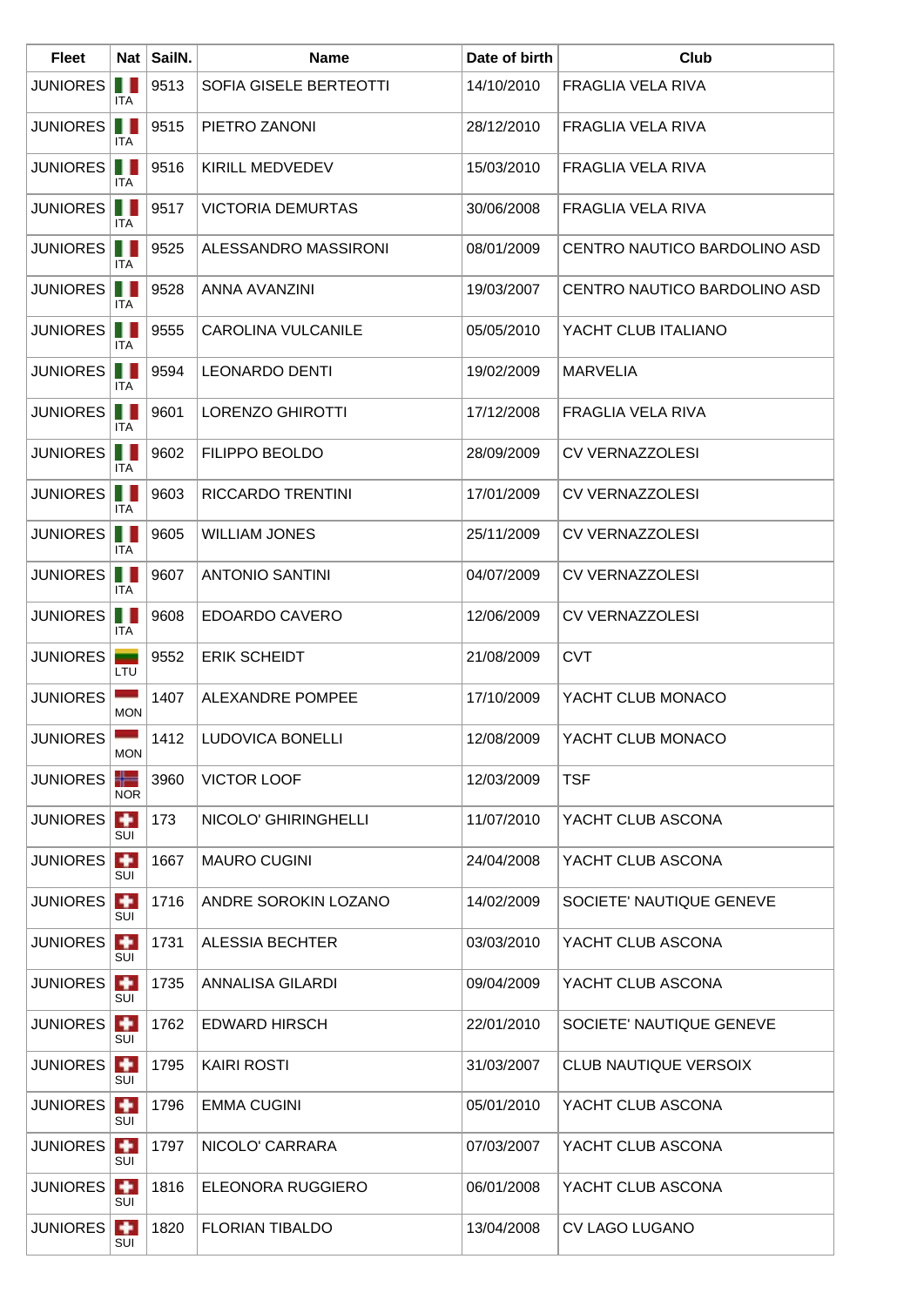| <b>Fleet</b>      |                  | Nat   SailN. | <b>Name</b>              | Date of birth | Club                         |
|-------------------|------------------|--------------|--------------------------|---------------|------------------------------|
| <b>JUNIORES</b>   | ш<br>ITA         | 9513         | SOFIA GISELE BERTEOTTI   | 14/10/2010    | FRAGLIA VELA RIVA            |
| <b>JUNIORES</b>   | Ш<br><b>ITA</b>  | 9515         | PIETRO ZANONI            | 28/12/2010    | FRAGLIA VELA RIVA            |
| <b>JUNIORES</b>   | Ш<br><b>ITA</b>  | 9516         | KIRILL MEDVEDEV          | 15/03/2010    | FRAGLIA VELA RIVA            |
| <b>JUNIORES</b>   | .<br>ITA         | 9517         | <b>VICTORIA DEMURTAS</b> | 30/06/2008    | FRAGLIA VELA RIVA            |
| <b>JUNIORES</b>   | Ш<br>ITA.        | 9525         | ALESSANDRO MASSIRONI     | 08/01/2009    | CENTRO NAUTICO BARDOLINO ASD |
| <b>JUNIORES</b>   | . .<br>ITA       | 9528         | ANNA AVANZINI            | 19/03/2007    | CENTRO NAUTICO BARDOLINO ASD |
| JUNIORES          | Ш<br>ITA.        | 9555         | CAROLINA VULCANILE       | 05/05/2010    | YACHT CLUB ITALIANO          |
| <b>JUNIORES</b>   | UN<br><b>ITA</b> | 9594         | <b>LEONARDO DENTI</b>    | 19/02/2009    | <b>MARVELIA</b>              |
| <b>JUNIORES</b>   | . .<br>ITA       | 9601         | <b>LORENZO GHIROTTI</b>  | 17/12/2008    | FRAGLIA VELA RIVA            |
| JUNIORES          | Ш<br>ITA.        | 9602         | <b>FILIPPO BEOLDO</b>    | 28/09/2009    | <b>CV VERNAZZOLESI</b>       |
| <b>JUNIORES</b>   | ш<br>ITA         | 9603         | <b>RICCARDO TRENTINI</b> | 17/01/2009    | <b>CV VERNAZZOLESI</b>       |
| <b>JUNIORES</b>   | . .<br>ITA       | 9605         | <b>WILLIAM JONES</b>     | 25/11/2009    | <b>CV VERNAZZOLESI</b>       |
| <b>JUNIORES</b>   | Ш<br>ITA         | 9607         | <b>ANTONIO SANTINI</b>   | 04/07/2009    | <b>CV VERNAZZOLESI</b>       |
| <b>JUNIORES</b>   | . .<br>ITA       | 9608         | EDOARDO CAVERO           | 12/06/2009    | <b>CV VERNAZZOLESI</b>       |
| <b>JUNIORES</b>   | LTU              | 9552         | <b>ERIK SCHEIDT</b>      | 21/08/2009    | <b>CVT</b>                   |
| <b>JUNIORES</b>   | <b>MON</b>       | 1407         | ALEXANDRE POMPEE         | 17/10/2009    | YACHT CLUB MONACO            |
| JUNIORES <b>I</b> | <b>MON</b>       | 1412         | LUDOVICA BONELLI         | 12/08/2009    | YACHT CLUB MONACO            |
| <b>JUNIORES</b>   | ╬═<br><b>NOR</b> | 3960         | <b>VICTOR LOOF</b>       | 12/03/2009    | <b>TSF</b>                   |
| <b>JUNIORES</b>   | $\bullet$<br>SUI | 173          | NICOLO' GHIRINGHELLI     | 11/07/2010    | YACHT CLUB ASCONA            |
| <b>JUNIORES</b>   | $\bullet$<br>SUI | 1667         | <b>MAURO CUGINI</b>      | 24/04/2008    | YACHT CLUB ASCONA            |
| <b>JUNIORES</b>   | $\bullet$<br>SUI | 1716         | ANDRE SOROKIN LOZANO     | 14/02/2009    | SOCIETE' NAUTIQUE GENEVE     |
| <b>JUNIORES</b>   | $\bullet$<br>SUI | 1731         | ALESSIA BECHTER          | 03/03/2010    | YACHT CLUB ASCONA            |
| <b>JUNIORES</b>   | SUI              | 1735         | ANNALISA GILARDI         | 09/04/2009    | YACHT CLUB ASCONA            |
| <b>JUNIORES</b>   | $\bullet$<br>SUI | 1762         | <b>EDWARD HIRSCH</b>     | 22/01/2010    | SOCIETE' NAUTIQUE GENEVE     |
| <b>JUNIORES</b>   | $\bullet$<br>SUI | 1795         | <b>KAIRI ROSTI</b>       | 31/03/2007    | <b>CLUB NAUTIQUE VERSOIX</b> |
| <b>JUNIORES</b>   | $\bullet$<br>SUI | 1796         | <b>EMMA CUGINI</b>       | 05/01/2010    | YACHT CLUB ASCONA            |
| <b>JUNIORES</b>   | ٠<br>SUI         | 1797         | NICOLO' CARRARA          | 07/03/2007    | YACHT CLUB ASCONA            |
| <b>JUNIORES</b>   | $\bullet$<br>SUI | 1816         | ELEONORA RUGGIERO        | 06/01/2008    | YACHT CLUB ASCONA            |
| <b>JUNIORES</b>   | $\bullet$<br>SUI | 1820         | <b>FLORIAN TIBALDO</b>   | 13/04/2008    | <b>CV LAGO LUGANO</b>        |